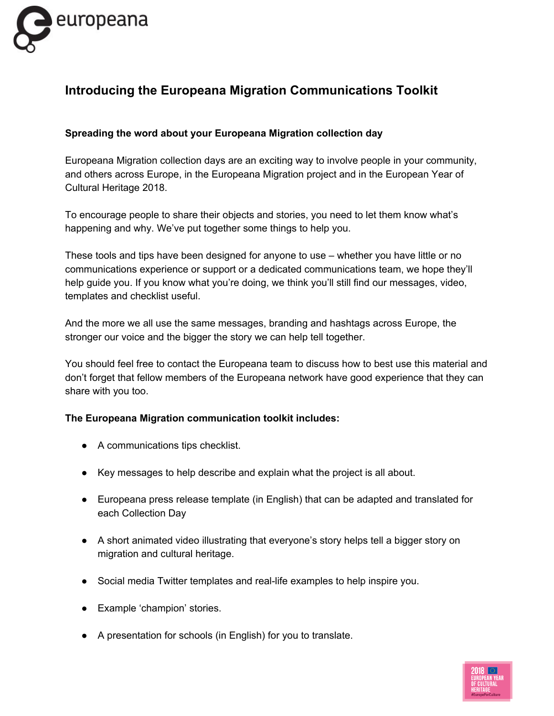

## **Introducing the Europeana Migration Communications Toolkit**

## **Spreading the word about your Europeana Migration collection day**

Europeana Migration collection days are an exciting way to involve people in your community, and others across Europe, in the Europeana Migration project and in the European Year of Cultural Heritage 2018.

To encourage people to share their objects and stories, you need to let them know what's happening and why. We've put together some things to help you.

These tools and tips have been designed for anyone to use – whether you have little or no communications experience or support or a dedicated communications team, we hope they'll help guide you. If you know what you're doing, we think you'll still find our messages, video, templates and checklist useful.

And the more we all use the same messages, branding and hashtags across Europe, the stronger our voice and the bigger the story we can help tell together.

You should feel free to contact the Europeana team to discuss how to best use this material and don't forget that fellow members of the Europeana network have good experience that they can share with you too.

## **The Europeana Migration communication toolkit includes:**

- A communications tips checklist.
- Key messages to help describe and explain what the project is all about.
- Europeana press release template (in English) that can be adapted and translated for each Collection Day
- A short animated video illustrating that everyone's story helps tell a bigger story on migration and cultural heritage.
- Social media Twitter templates and real-life examples to help inspire you.
- Example 'champion' stories.
- A presentation for schools (in English) for you to translate.